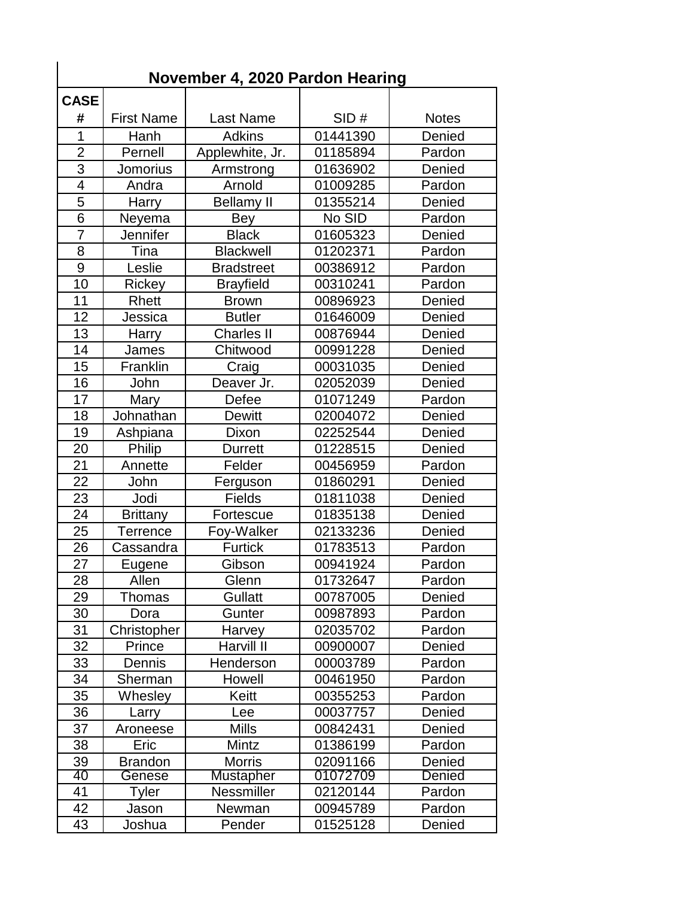| November 4, 2020 Pardon Hearing |                   |                   |          |               |  |  |
|---------------------------------|-------------------|-------------------|----------|---------------|--|--|
| <b>CASE</b>                     |                   |                   |          |               |  |  |
| #                               | <b>First Name</b> | <b>Last Name</b>  | SID#     | <b>Notes</b>  |  |  |
| 1                               | Hanh              | <b>Adkins</b>     | 01441390 | Denied        |  |  |
| $\overline{2}$                  | Pernell           | Applewhite, Jr.   | 01185894 | Pardon        |  |  |
| 3                               | <b>Jomorius</b>   | Armstrong         | 01636902 | Denied        |  |  |
| $\overline{4}$                  | Andra             | Arnold            | 01009285 | Pardon        |  |  |
| 5                               | Harry             | <b>Bellamy II</b> | 01355214 | Denied        |  |  |
| 6                               | Neyema            | Bey               | No SID   | Pardon        |  |  |
| $\overline{7}$                  | <b>Jennifer</b>   | <b>Black</b>      | 01605323 | Denied        |  |  |
| 8                               | Tina              | <b>Blackwell</b>  | 01202371 | Pardon        |  |  |
| 9                               | Leslie            | <b>Bradstreet</b> | 00386912 | Pardon        |  |  |
| 10                              | Rickey            | <b>Brayfield</b>  | 00310241 | Pardon        |  |  |
| 11                              | Rhett             | <b>Brown</b>      | 00896923 | Denied        |  |  |
| 12                              | Jessica           | <b>Butler</b>     | 01646009 | Denied        |  |  |
| 13                              | Harry             | <b>Charles II</b> | 00876944 | Denied        |  |  |
| 14                              | James             | Chitwood          | 00991228 | Denied        |  |  |
| 15                              | Franklin          | Craig             | 00031035 | Denied        |  |  |
| 16                              | John              | Deaver Jr.        | 02052039 | Denied        |  |  |
| 17                              | Mary              | Defee             | 01071249 | Pardon        |  |  |
| 18                              | Johnathan         | <b>Dewitt</b>     | 02004072 | Denied        |  |  |
| 19                              | Ashpiana          | Dixon             | 02252544 | Denied        |  |  |
| 20                              | Philip            | <b>Durrett</b>    | 01228515 | Denied        |  |  |
| 21                              | Annette           | Felder            | 00456959 | Pardon        |  |  |
| 22                              | John              | Ferguson          | 01860291 | Denied        |  |  |
| 23                              | Jodi              | Fields            | 01811038 | Denied        |  |  |
| 24                              | <b>Brittany</b>   | Fortescue         | 01835138 | Denied        |  |  |
| 25                              | Terrence          | Foy-Walker        | 02133236 | Denied        |  |  |
| 26                              | Cassandra         | <b>Furtick</b>    | 01783513 | Pardon        |  |  |
| 27                              | Eugene            | Gibson            | 00941924 | Pardon        |  |  |
| 28                              | Allen             | Glenn             | 01732647 | Pardon        |  |  |
| 29                              | Thomas            | <b>Gullatt</b>    | 00787005 | Denied        |  |  |
| 30                              | Dora              | Gunter            | 00987893 | Pardon        |  |  |
| 31                              | Christopher       | Harvey            | 02035702 | Pardon        |  |  |
| 32                              | Prince            | Harvill II        | 00900007 | Denied        |  |  |
| 33                              | Dennis            | Henderson         | 00003789 | Pardon        |  |  |
| 34                              | Sherman           | Howell            | 00461950 | Pardon        |  |  |
| 35                              | Whesley           | Keitt             | 00355253 | Pardon        |  |  |
| 36                              | Larry             | Lee               | 00037757 | Denied        |  |  |
| 37                              | Aroneese          | <b>Mills</b>      | 00842431 | Denied        |  |  |
| 38                              | Eric              | Mintz             | 01386199 | Pardon        |  |  |
| 39                              | <b>Brandon</b>    | <b>Morris</b>     | 02091166 | Denied        |  |  |
| 40                              | Genese            | <b>Mustapher</b>  | 01072709 | <b>Denied</b> |  |  |
| 41                              | Tyler             | Nessmiller        | 02120144 | Pardon        |  |  |
| 42                              | Jason             | Newman            | 00945789 | Pardon        |  |  |
| 43                              | Joshua            | Pender            | 01525128 | Denied        |  |  |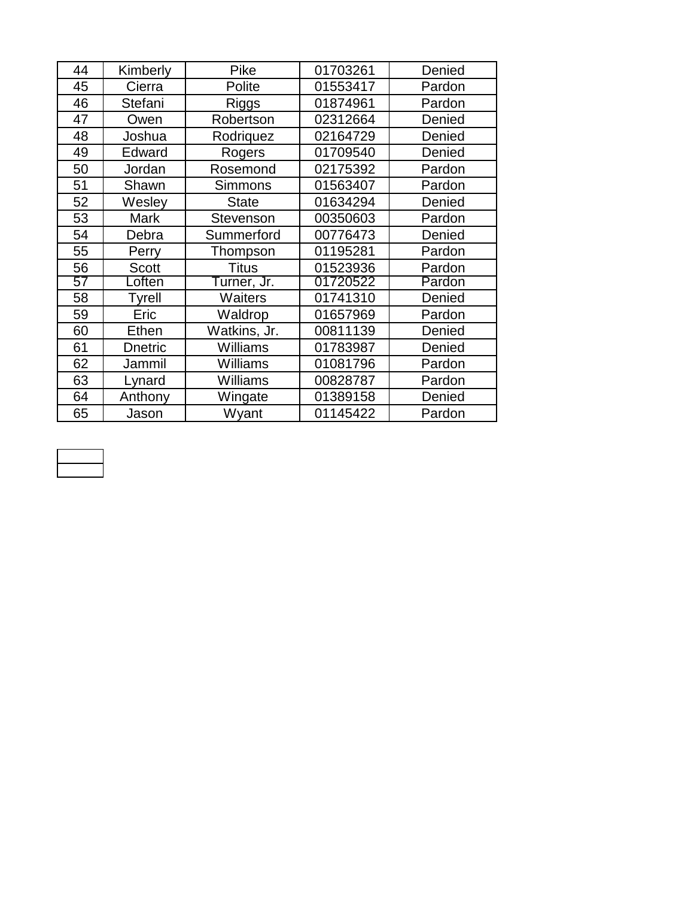| 44 | Kimberly       | Pike             | 01703261 | Denied |
|----|----------------|------------------|----------|--------|
| 45 | Cierra         | Polite           | 01553417 | Pardon |
| 46 | Stefani        | Riggs            | 01874961 | Pardon |
| 47 | Owen           | Robertson        | 02312664 | Denied |
| 48 | Joshua         | Rodriquez        | 02164729 | Denied |
| 49 | Edward         | Rogers           | 01709540 | Denied |
| 50 | Jordan         | Rosemond         | 02175392 | Pardon |
| 51 | Shawn          | <b>Simmons</b>   | 01563407 | Pardon |
| 52 | Wesley         | <b>State</b>     | 01634294 | Denied |
| 53 | <b>Mark</b>    | <b>Stevenson</b> | 00350603 | Pardon |
| 54 | Debra          | Summerford       | 00776473 | Denied |
| 55 | Perry          | Thompson         | 01195281 | Pardon |
| 56 | <b>Scott</b>   | <b>Titus</b>     | 01523936 | Pardon |
| 57 | Loften         | Turner, Jr.      | 01720522 | Pardon |
| 58 | <b>Tyrell</b>  | Waiters          | 01741310 | Denied |
| 59 | Eric           | Waldrop          | 01657969 | Pardon |
| 60 | Ethen          | Watkins, Jr.     | 00811139 | Denied |
| 61 | <b>Dnetric</b> | Williams         | 01783987 | Denied |
| 62 | Jammil         | Williams         | 01081796 | Pardon |
| 63 | Lynard         | Williams         | 00828787 | Pardon |
| 64 | Anthony        | Wingate          | 01389158 | Denied |
| 65 | Jason          | Wyant            | 01145422 | Pardon |